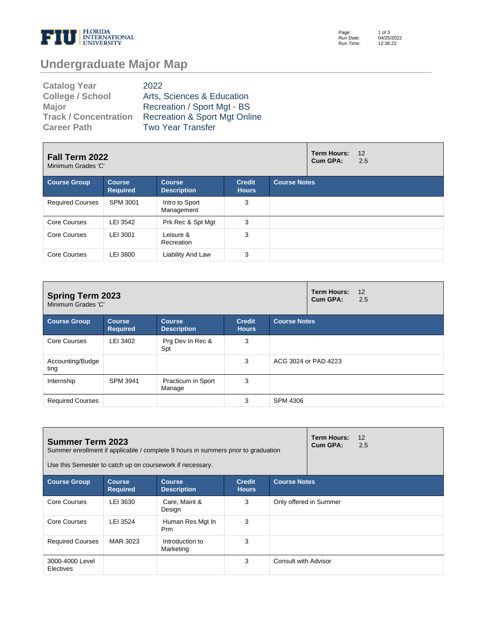

Page: Run Date: Run Time: 1 of 3 04/25/2022 12:36:22

# **Undergraduate Major Map**

| <b>Catalog Year</b>          | 2022                                     |
|------------------------------|------------------------------------------|
| <b>College / School</b>      | Arts, Sciences & Education               |
| <b>Major</b>                 | Recreation / Sport Mgt - BS              |
| <b>Track / Concentration</b> | <b>Recreation &amp; Sport Mgt Online</b> |
| <b>Career Path</b>           | <b>Two Year Transfer</b>                 |

| Fall Term 2022<br>Minimum Grades 'C' |                                  |                                     |                               | <b>Term Hours:</b><br>Cum GPA: | 12<br>2.5 |  |
|--------------------------------------|----------------------------------|-------------------------------------|-------------------------------|--------------------------------|-----------|--|
| <b>Course Group</b>                  | <b>Course</b><br><b>Required</b> | <b>Course</b><br><b>Description</b> | <b>Credit</b><br><b>Hours</b> | <b>Course Notes</b>            |           |  |
| <b>Required Courses</b>              | SPM 3001                         | Intro to Sport<br>Management        | 3                             |                                |           |  |
| Core Courses                         | LEI 3542                         | Prk Rec & Spt Mgt                   | 3                             |                                |           |  |
| Core Courses                         | LEI 3001                         | Leisure &<br>Recreation             | 3                             |                                |           |  |
| Core Courses                         | LEI 3800                         | Liability And Law                   | 3                             |                                |           |  |

| <b>Spring Term 2023</b><br>Minimum Grades 'C' |                                  |                                     |                               | <b>Term Hours:</b><br>Cum GPA: | 12<br>2.5            |  |  |
|-----------------------------------------------|----------------------------------|-------------------------------------|-------------------------------|--------------------------------|----------------------|--|--|
| <b>Course Group</b>                           | <b>Course</b><br><b>Required</b> | <b>Course</b><br><b>Description</b> | <b>Credit</b><br><b>Hours</b> | <b>Course Notes</b>            |                      |  |  |
| <b>Core Courses</b>                           | LEI 3402                         | Prg Dev In Rec &<br>Spt             | 3                             |                                |                      |  |  |
| Accounting/Budge<br>ting                      |                                  |                                     | 3                             |                                | ACG 3024 or PAD 4223 |  |  |
| Internship                                    | <b>SPM 3941</b>                  | Practicum in Sport<br>Manage        | 3                             |                                |                      |  |  |
| <b>Required Courses</b>                       |                                  |                                     | 3                             | <b>SPM 4306</b>                |                      |  |  |

| <b>Summer Term 2023</b>      |                                  | Summer enrollment if applicable / complete 9 hours in summers prior to graduation<br>Use this Semester to catch up on coursework if necessary. |                               |                        | <b>Term Hours:</b><br>Cum GPA: | 12<br>2.5 |  |
|------------------------------|----------------------------------|------------------------------------------------------------------------------------------------------------------------------------------------|-------------------------------|------------------------|--------------------------------|-----------|--|
| <b>Course Group</b>          | <b>Course</b><br><b>Required</b> | <b>Course</b><br><b>Description</b>                                                                                                            | <b>Credit</b><br><b>Hours</b> | <b>Course Notes</b>    |                                |           |  |
| Core Courses                 | LEI 3630                         | Care, Maint &<br>Design                                                                                                                        | 3                             | Only offered in Summer |                                |           |  |
| Core Courses                 | LEI 3524                         | Human Res Mgt In<br><b>Prm</b>                                                                                                                 | 3                             |                        |                                |           |  |
| <b>Required Courses</b>      | MAR 3023                         | Introduction to<br>Marketing                                                                                                                   | 3                             |                        |                                |           |  |
| 3000-4000 Level<br>Electives |                                  |                                                                                                                                                | 3                             | Consult with Advisor   |                                |           |  |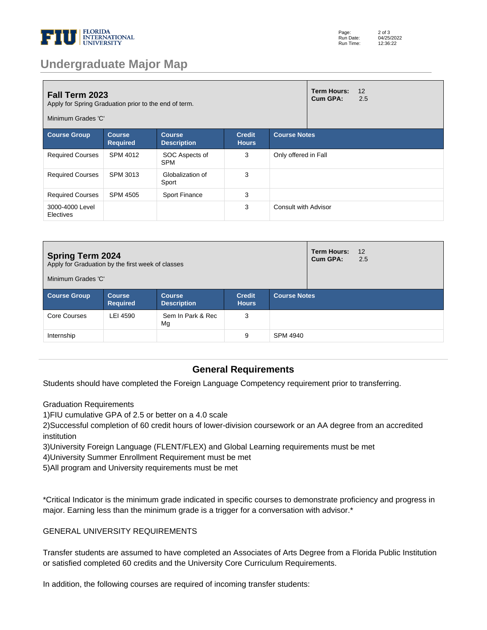

| Page:     | $2$ of $3$ |
|-----------|------------|
| Run Date: | 04/25/2022 |
| Run Time: | 12:36:22   |

## **Undergraduate Major Map**

| <b>Fall Term 2023</b><br>Apply for Spring Graduation prior to the end of term.<br>Minimum Grades 'C'                                                   |                 |                              |   |                             | <b>Term Hours:</b><br><b>Cum GPA:</b> | 12<br>2.5 |
|--------------------------------------------------------------------------------------------------------------------------------------------------------|-----------------|------------------------------|---|-----------------------------|---------------------------------------|-----------|
| <b>Course Group</b><br><b>Credit</b><br><b>Course Notes</b><br><b>Course</b><br><b>Course</b><br><b>Required</b><br><b>Description</b><br><b>Hours</b> |                 |                              |   |                             |                                       |           |
| <b>Required Courses</b>                                                                                                                                | SPM 4012        | SOC Aspects of<br><b>SPM</b> | 3 | Only offered in Fall        |                                       |           |
| <b>Required Courses</b>                                                                                                                                | SPM 3013        | Globalization of<br>Sport    | 3 |                             |                                       |           |
| <b>Required Courses</b>                                                                                                                                | <b>SPM 4505</b> | <b>Sport Finance</b>         | 3 |                             |                                       |           |
| 3000-4000 Level<br><b>Electives</b>                                                                                                                    |                 |                              | 3 | <b>Consult with Advisor</b> |                                       |           |

| <b>Spring Term 2024</b><br>Apply for Graduation by the first week of classes<br>Minimum Grades 'C' |                                  | <b>Term Hours:</b><br>Cum GPA:      | 12<br>2.5                     |                     |  |  |  |
|----------------------------------------------------------------------------------------------------|----------------------------------|-------------------------------------|-------------------------------|---------------------|--|--|--|
| <b>Course Group</b>                                                                                | <b>Course</b><br><b>Required</b> | <b>Course</b><br><b>Description</b> | <b>Credit</b><br><b>Hours</b> | <b>Course Notes</b> |  |  |  |
| Core Courses                                                                                       | LEI 4590                         | Sem In Park & Rec<br>Mg             | 3                             |                     |  |  |  |
| Internship                                                                                         |                                  |                                     | 9                             | SPM 4940            |  |  |  |

### **General Requirements**

Students should have completed the Foreign Language Competency requirement prior to transferring.

Graduation Requirements

1) FIU cumulative GPA of 2.5 or better on a 4.0 scale

2) Successful completion of 60 credit hours of lower-division coursework or an AA degree from an accredited institution

- 3) University Foreign Language (FLENT/FLEX) and Global Learning requirements must be met
- 4) University Summer Enrollment Requirement must be met
- 5) All program and University requirements must be met

\*Critical Indicator is the minimum grade indicated in specific courses to demonstrate proficiency and progress in major. Earning less than the minimum grade is a trigger for a conversation with advisor.\*

#### GENERAL UNIVERSITY REQUIREMENTS

Transfer students are assumed to have completed an Associates of Arts Degree from a Florida Public Institution or satisfied completed 60 credits and the University Core Curriculum Requirements.

In addition, the following courses are required of incoming transfer students: